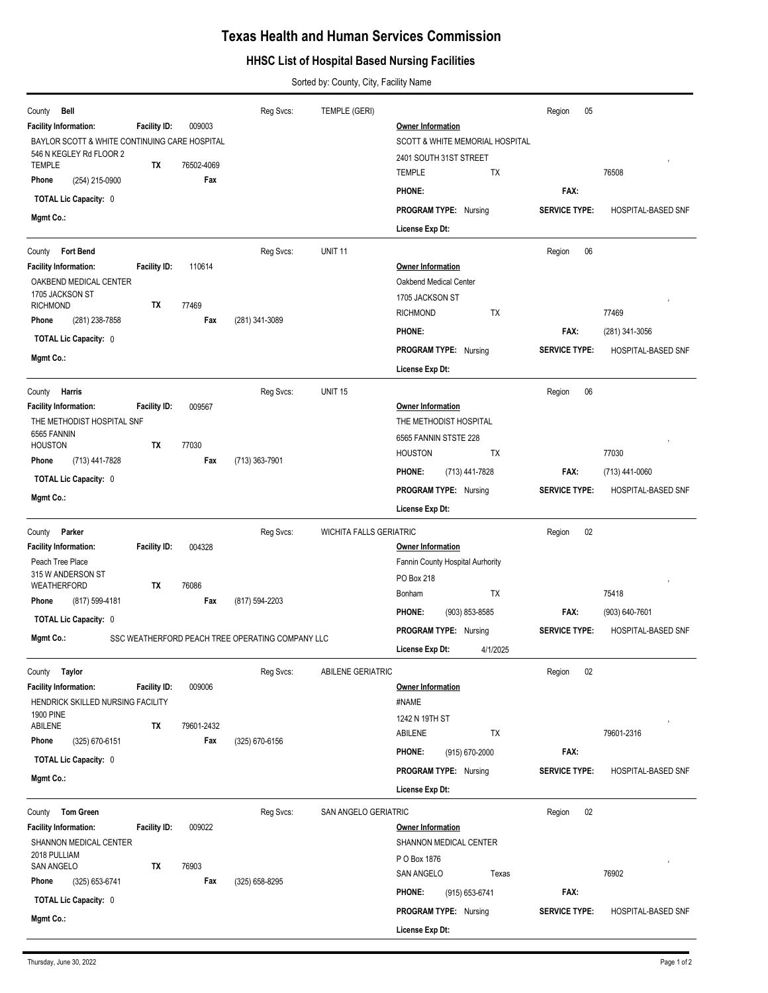## **Texas Health and Human Services Commission**

## **HHSC List of Hospital Based Nursing Facilities**

Sorted by: County, City, Facility Name

| Bell<br>County                                         |                     |            | Reg Svcs:                                        | TEMPLE (GERI)                  |                                                             | Region<br>05         |                           |
|--------------------------------------------------------|---------------------|------------|--------------------------------------------------|--------------------------------|-------------------------------------------------------------|----------------------|---------------------------|
| <b>Facility Information:</b>                           | Facility ID:        | 009003     |                                                  |                                | <b>Owner Information</b>                                    |                      |                           |
| BAYLOR SCOTT & WHITE CONTINUING CARE HOSPITAL          |                     |            |                                                  |                                | SCOTT & WHITE MEMORIAL HOSPITAL                             |                      |                           |
| 546 N KEGLEY Rd FLOOR 2                                |                     |            |                                                  |                                | 2401 SOUTH 31ST STREET                                      |                      |                           |
| <b>TEMPLE</b>                                          | TX                  | 76502-4069 |                                                  |                                | <b>TEMPLE</b><br>TХ                                         |                      | 76508                     |
| Phone<br>(254) 215-0900                                |                     | Fax        |                                                  |                                | PHONE:                                                      | FAX:                 |                           |
| TOTAL Lic Capacity: 0                                  |                     |            |                                                  |                                | PROGRAM TYPE: Nursing                                       | <b>SERVICE TYPE:</b> | <b>HOSPITAL-BASED SNF</b> |
| Mgmt Co.:                                              |                     |            |                                                  |                                | License Exp Dt:                                             |                      |                           |
| <b>Fort Bend</b><br>County                             |                     |            | Reg Svcs:                                        | <b>UNIT 11</b>                 |                                                             | Region<br>06         |                           |
| <b>Facility Information:</b>                           | <b>Facility ID:</b> | 110614     |                                                  |                                | <b>Owner Information</b>                                    |                      |                           |
| OAKBEND MEDICAL CENTER                                 |                     |            |                                                  |                                | Oakbend Medical Center                                      |                      |                           |
| 1705 JACKSON ST                                        |                     |            |                                                  |                                | 1705 JACKSON ST                                             |                      |                           |
| <b>RICHMOND</b>                                        | TX                  | 77469      |                                                  |                                | <b>RICHMOND</b><br>TX                                       |                      | 77469                     |
| Phone<br>(281) 238-7858                                |                     | Fax        | (281) 341-3089                                   |                                | PHONE:                                                      | FAX:                 | (281) 341-3056            |
| TOTAL Lic Capacity: 0                                  |                     |            |                                                  |                                | PROGRAM TYPE: Nursing                                       | <b>SERVICE TYPE:</b> | HOSPITAL-BASED SNF        |
| Mgmt Co.:                                              |                     |            |                                                  |                                | License Exp Dt:                                             |                      |                           |
| Harris<br>County                                       |                     |            | Reg Svcs:                                        | <b>UNIT 15</b>                 |                                                             | 06<br>Region         |                           |
| <b>Facility Information:</b>                           | Facility ID:        | 009567     |                                                  |                                | <b>Owner Information</b>                                    |                      |                           |
| THE METHODIST HOSPITAL SNF                             |                     |            |                                                  |                                | THE METHODIST HOSPITAL                                      |                      |                           |
| 6565 FANNIN                                            |                     |            |                                                  |                                | 6565 FANNIN STSTE 228                                       |                      |                           |
| <b>HOUSTON</b>                                         | <b>TX</b>           | 77030      |                                                  |                                | <b>HOUSTON</b><br>TX                                        |                      | 77030                     |
| Phone<br>(713) 441-7828                                |                     | Fax        | (713) 363-7901                                   |                                | PHONE:<br>(713) 441-7828                                    | FAX:                 | (713) 441-0060            |
| TOTAL Lic Capacity: 0                                  |                     |            |                                                  |                                | <b>PROGRAM TYPE:</b> Nursing                                | <b>SERVICE TYPE:</b> | HOSPITAL-BASED SNF        |
| Mgmt Co.:                                              |                     |            |                                                  |                                | License Exp Dt:                                             |                      |                           |
| Parker<br>County                                       |                     |            | Reg Svcs:                                        | <b>WICHITA FALLS GERIATRIC</b> |                                                             | Region<br>02         |                           |
| <b>Facility Information:</b>                           | Facility ID:        | 004328     |                                                  |                                | <b>Owner Information</b>                                    |                      |                           |
| Peach Tree Place                                       |                     |            |                                                  |                                | Fannin County Hospital Aurhority                            |                      |                           |
|                                                        |                     |            |                                                  |                                |                                                             |                      |                           |
| 315 W ANDERSON ST                                      |                     |            |                                                  |                                | PO Box 218                                                  |                      |                           |
| WEATHERFORD                                            | TX                  | 76086      |                                                  |                                | Bonham<br>TX                                                |                      | 75418                     |
| (817) 599-4181<br>Phone                                |                     | Fax        | (817) 594-2203                                   |                                | PHONE:                                                      | FAX:                 |                           |
| <b>TOTAL Lic Capacity: 0</b>                           |                     |            |                                                  |                                | (903) 853-8585                                              |                      | (903) 640-7601            |
| Mgmt Co.:                                              |                     |            | SSC WEATHERFORD PEACH TREE OPERATING COMPANY LLC |                                | <b>PROGRAM TYPE: Nursing</b><br>4/1/2025<br>License Exp Dt: | <b>SERVICE TYPE:</b> | <b>HOSPITAL-BASED SNF</b> |
|                                                        |                     |            | Reg Svcs:                                        |                                |                                                             |                      |                           |
| County Taylor<br><b>Facility Information:</b>          | Facility ID:        | 009006     |                                                  | <b>ABILENE GERIATRIC</b>       | <b>Owner Information</b>                                    | Region<br>02         |                           |
|                                                        |                     |            |                                                  |                                | #NAME                                                       |                      |                           |
| HENDRICK SKILLED NURSING FACILITY<br><b>1900 PINE</b>  |                     |            |                                                  |                                |                                                             |                      |                           |
| ABILENE                                                | TX                  | 79601-2432 |                                                  |                                | 1242 N 19TH ST<br>ABILENE<br>TX                             |                      | 79601-2316                |
| Phone<br>(325) 670-6151                                |                     | Fax        | (325) 670-6156                                   |                                | PHONE:<br>(915) 670-2000                                    | FAX:                 |                           |
| <b>TOTAL Lic Capacity: 0</b>                           |                     |            |                                                  |                                |                                                             |                      |                           |
| Mgmt Co.:                                              |                     |            |                                                  |                                | <b>PROGRAM TYPE:</b> Nursing<br>License Exp Dt:             | <b>SERVICE TYPE:</b> | HOSPITAL-BASED SNF        |
|                                                        |                     |            |                                                  | SAN ANGELO GERIATRIC           |                                                             |                      |                           |
| <b>Tom Green</b><br>County                             |                     | 009022     | Reg Svcs:                                        |                                | <b>Owner Information</b>                                    | 02<br>Region         |                           |
| <b>Facility Information:</b><br>SHANNON MEDICAL CENTER | <b>Facility ID:</b> |            |                                                  |                                | SHANNON MEDICAL CENTER                                      |                      |                           |
| 2018 PULLIAM                                           |                     |            |                                                  |                                |                                                             |                      |                           |
| <b>SAN ANGELO</b>                                      | TX                  | 76903      |                                                  |                                | P O Box 1876<br>SAN ANGELO<br>Texas                         |                      | 76902                     |
| (325) 653-6741<br>Phone                                |                     | Fax        | $(325)$ 658-8295                                 |                                | PHONE:                                                      |                      |                           |
| <b>TOTAL Lic Capacity: 0</b>                           |                     |            |                                                  |                                | (915) 653-6741                                              | FAX:                 |                           |
| Mgmt Co.:                                              |                     |            |                                                  |                                | <b>PROGRAM TYPE: Nursing</b><br>License Exp Dt:             | <b>SERVICE TYPE:</b> | HOSPITAL-BASED SNF        |